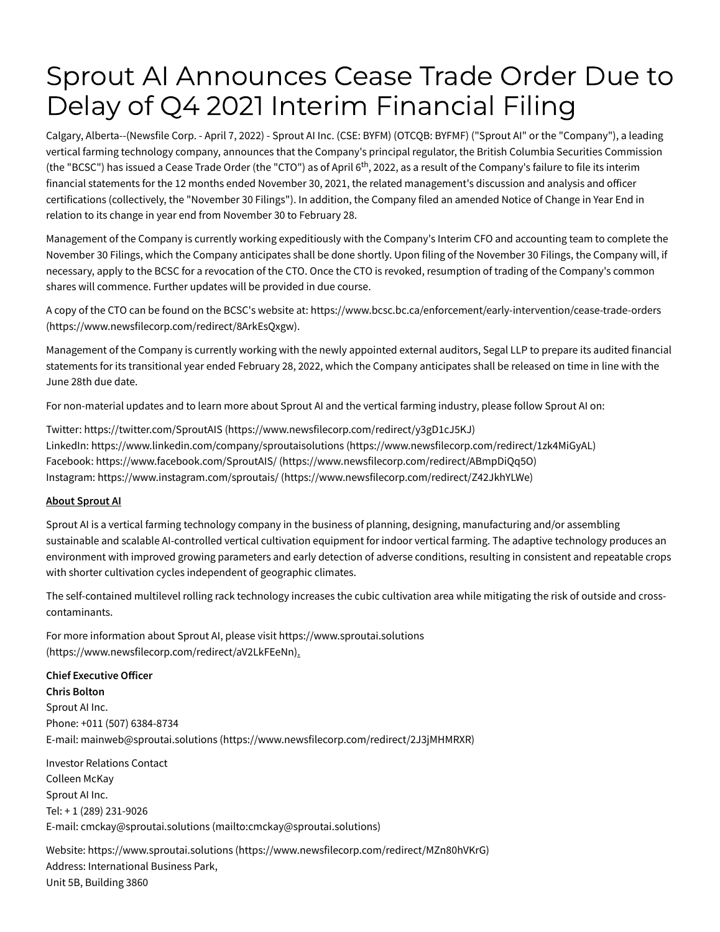# Sprout AI Announces Cease Trade Order Due to Delay of Q4 2021 Interim Financial Filing

Calgary, Alberta--(Newsfile Corp. - April 7, 2022) - Sprout AI Inc. (CSE: BYFM) (OTCQB: BYFMF) ("Sprout AI" or the "Company"), a leading vertical farming technology company, announces that the Company's principal regulator, the British Columbia Securities Commission (the "BCSC") has issued a Cease Trade Order (the "CTO") as of April 6<sup>th</sup>, 2022, as a result of the Company's failure to file its interim financial statements for the 12 months ended November 30, 2021, the related management's discussion and analysis and officer certifications (collectively, the "November 30 Filings"). In addition, the Company filed an amended Notice of Change in Year End in relation to its change in year end from November 30 to February 28.

Management of the Company is currently working expeditiously with the Company's Interim CFO and accounting team to complete the November 30 Filings, which the Company anticipates shall be done shortly. Upon filing of the November 30 Filings, the Company will, if necessary, apply to the BCSC for a revocation of the CTO. Once the CTO is revoked, resumption of trading of the Company's common shares will commence. Further updates will be provided in due course.

A copy of the CTO can be found on the BCSC's website at: [https://www.bcsc.bc.ca/enforcement/early-intervention/cease-trade-orders](https://www.newsfilecorp.com/redirect/8ArkEsQxgw) (https://www.newsfilecorp.com/redirect/8ArkEsQxgw).

Management of the Company is currently working with the newly appointed external auditors, Segal LLP to prepare its audited financial statements for its transitional year ended February 28, 2022, which the Company anticipates shall be released on time in line with the June 28th due date.

For non-material updates and to learn more about Sprout AI and the vertical farming industry, please follow Sprout AI on:

Twitter: https://twitter.com/SproutAIS [\(https://www.newsfilecorp.com/redirect/y3gD1cJ5KJ\)](https://www.newsfilecorp.com/redirect/y3gD1cJ5KJ) LinkedIn: [https://www.linkedin.com/company/sproutaisolutions](https://www.newsfilecorp.com/redirect/1zk4MiGyAL) (https://www.newsfilecorp.com/redirect/1zk4MiGyAL) Facebook: https://www.facebook.com/SproutAIS/ [\(https://www.newsfilecorp.com/redirect/ABmpDiQq5O\)](https://www.newsfilecorp.com/redirect/ABmpDiQq5O) Instagram: https://www.instagram.com/sproutais/ [\(https://www.newsfilecorp.com/redirect/Z42JkhYLWe\)](https://www.newsfilecorp.com/redirect/Z42JkhYLWe)

## **About Sprout AI**

Sprout AI is a vertical farming technology company in the business of planning, designing, manufacturing and/or assembling sustainable and scalable AI-controlled vertical cultivation equipment for indoor vertical farming. The adaptive technology produces an environment with improved growing parameters and early detection of adverse conditions, resulting in consistent and repeatable crops with shorter cultivation cycles independent of geographic climates.

The self-contained multilevel rolling rack technology increases the cubic cultivation area while mitigating the risk of outside and crosscontaminants.

For more information about Sprout AI, please visit https://www.sproutai.solutions [\(https://www.newsfilecorp.com/redirect/aV2LkFEeNn\).](https://www.newsfilecorp.com/redirect/aV2LkFEeNn)

## **Chief Executive Officer**

**Chris Bolton** Sprout AI Inc. Phone: +011 (507) 6384-8734 E-mail: mainweb@sproutai.solutions [\(https://www.newsfilecorp.com/redirect/2J3jMHMRXR\)](https://www.newsfilecorp.com/redirect/2J3jMHMRXR)

Investor Relations Contact Colleen McKay Sprout AI Inc. Tel: + 1 (289) 231-9026 E-mail: cmckay@sproutai.solutions [\(mailto:cmckay@sproutai.solutions\)](mailto:cmckay@sproutai.solutions)

Website: https://www.sproutai.solutions [\(https://www.newsfilecorp.com/redirect/MZn80hVKrG\)](https://www.newsfilecorp.com/redirect/MZn80hVKrG) Address: International Business Park, Unit 5B, Building 3860